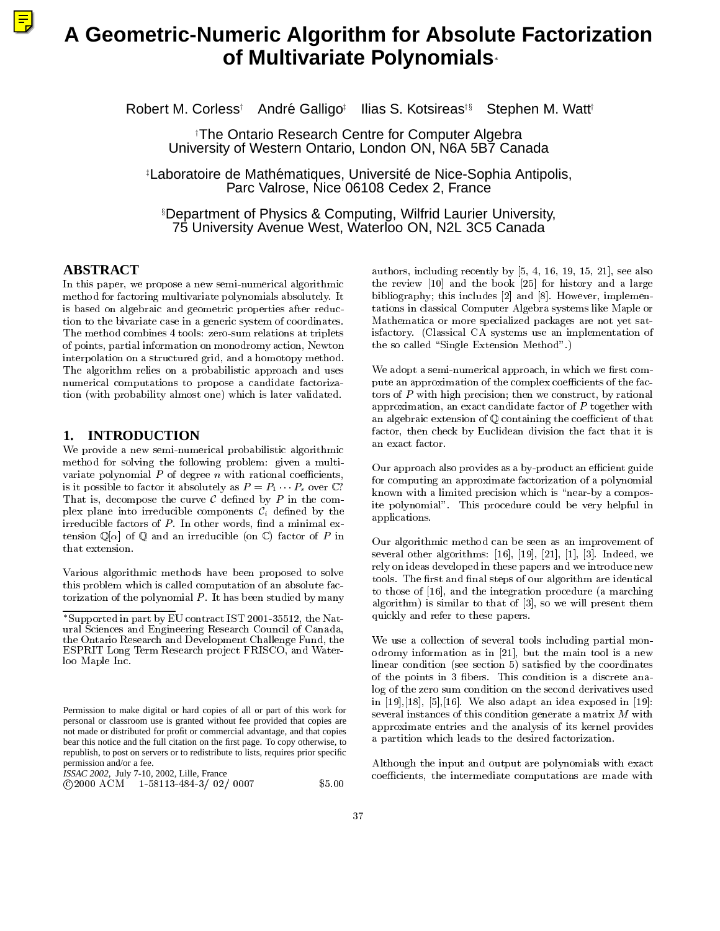

# **A Geometric-Numeric Algorithm for Absolute Factorization of Multivariate Polynomials**

Robert M. Corless André Galligo<sup>‡</sup> Ilias S. Kotsireas<sup>†§</sup> Ste Stephen M. Watt<sup>+</sup>

 The Ontario Research Centre for Computer Algebra University of Western Ontario, London ON, N6A 5B7 Canada

Laboratoire de Mathématiques, Université de Nice-Sophia Antipolis, Parc Valrose, Nice 06108 Cedex 2, France

 Department of Physics & Computing, Wilfrid Laurier University, 75 University Avenue West, Waterloo ON, N2L 3C5 Canada

# **ABSTRACT**

method for factoring multivariate polynomials absolutel In this paper, we propose a new semi-numerical algorithmic  $\blacksquare$ tion to the bivariate case in a generic system of coordinates.  - - - -   of points, partial information on monodromy action, Newton the  $\mathbf{r}$  and  $\mathbf{r}$  and  $\mathbf{r}$  and  $\mathbf{r}$  and  $\mathbf{r}$  and  $\mathbf{r}$  and  $\mathbf{r}$  and  $\mathbf{r}$  and  $\mathbf{r}$  and  $\mathbf{r}$  and  $\mathbf{r}$  and  $\mathbf{r}$  and  $\mathbf{r}$  and  $\mathbf{r}$  and  $\mathbf{r}$  and  $\mathbf{r}$  and  $\mathbf{r}$  and  $\overline{\rm{int}}$ erpolation on a structured grid, and a homotopy method. The algorithm relies on a probabilistic approach and use numerical computations to propose a candidate factoriza- $\cdots$   $\cdots$   $\cdots$   $\cdots$   $\cdots$   $\cdots$   $\cdots$   $\cdots$   $\cdots$   $\cdots$   $\cdots$   $\cdots$   $\cdots$   $\cdots$   $\cdots$   $\cdots$   $\cdots$   $\cdots$   $\cdots$   $\cdots$   $\cdots$   $\cdots$   $\cdots$   $\cdots$   $\cdots$   $\cdots$   $\cdots$   $\cdots$   $\cdots$   $\cdots$   $\cdots$   $\cdots$   $\cdots$   $\cdots$   $\cdots$   $\cdots$   $\cdots$ 

# **1. INTRODUCTION**

 $\overline{\text{I}}$  method for solving the following problem: given a multi-We provide a new semi-numerical probabilistic algorithmic  $\mathcal{L}_{\mathcal{L}}$  . The contract of the contract of the contract of the contract of the contract of the contract of the contract of the contract of the contract of the contract of the contract of the contract of the contract That is, decompose the curve  $\mathcal{C}$  defined by P in the com- $\frac{1}{2}$  and  $\frac{1}{2}$  and  $\frac{1}{2}$  and  $\frac{1}{2}$  and  $\frac{1}{2}$  are  $\frac{1}{2}$  and  $\frac{1}{2}$  are  $\frac{1}{2}$  in the same into irreducible components  $\mathcal{C}_i$  defined by the tension  $\mathbb{Q}[\alpha]$  of  $\mathbb Q$  and an irreducible (on  $\mathbb C)$  factor of  $P$  in

Various algorithmic methods have been proposed to solve  $\tilde{C}$ -- $\frac{1}{\log P}$  to  $\frac{1}{\log P}$  . It has been studied by many  $\frac{1}{\log P}$ 

*ISSAC 2002,* July 7-10, 2002, Lille, France  $\bigcup$  =  $\bigcup$  =  $\bigcup$  =  $\bigcup$  =  $\bigcup$  =  $\bigcup$   $\bigcup$  =  $\bigcup$  =  $\bigcup$  =  $\bigcup$  =  $\bigcup$  =  $\bigcup$  =  $\bigcup$  =  $\bigcup$  =  $\bigcup$  =  $\bigcup$  =  $\bigcup$  =  $\bigcup$  =  $\bigcup$  =  $\bigcup$  =  $\bigcup$  =  $\bigcup$  =  $\bigcup$  =  $\bigcup$  =  $\bigcup$  =  $\bigcup$  =  $\bigcup$  =  $\bigcup$  =

 $\mathcal{L}^{\mathcal{L}}$  , and  $\mathcal{L}^{\mathcal{L}}$  , and  $\mathcal{L}^{\mathcal{L}}$  , and  $\mathcal{L}^{\mathcal{L}}$  , and  $\mathcal{L}^{\mathcal{L}}$  , and  $\mathcal{L}^{\mathcal{L}}$  , and  $\mathcal{L}^{\mathcal{L}}$  , and  $\mathcal{L}^{\mathcal{L}}$  , and  $\mathcal{L}^{\mathcal{L}}$  , and  $\mathcal{L}^{\mathcal{L}}$  , and  $\frac{1}{25}$  and the book [25] for history and a large tations in classical Computer Algebra systems like Maple or Mathematica or more specialized packages are not yet satis<br>factory. (Classical CA systems use an implementation of o called "Single Extension Method".)  C( )\$-

pute an approximation of the complex coefficients of the fac- $\frac{1}{2}$  and  $\frac{1}{2}$   $\frac{1}{2}$  and  $\frac{1}{2}$  are  $\frac{1}{2}$  and  $\frac{1}{2}$  and  $\frac{1}{2}$  are construct, by rational  $\frac{1}{2}$  approximation, an exact candidate factor of  $P$  together with  $\sim$  -states of the states of the states of the states of the states of the states of the states of the states of the states of the states of the states of the states of the states of the states of the states of the state factor, then check by Euclidean division the fact that it is  $\alpha$  ) and  $\alpha$  is the set of  $\alpha$  -set of  $\alpha$  -set of  $\alpha$  -set of  $\alpha$  -set of  $\alpha$  -set of  $\alpha$ an exact factor.

 $\mathbb{R}^2$  or computing an approximate factorization of a polynomial  $\mathbf{r}$  . The state of  $\mathbf{r}$  is the state of  $\mathbf{r}$  . The state of  $\mathbf{r}$  is the state of  $\mathbf{r}$ example the polynomial". This procedure could be very helpful in -

Our algorithmic method can be seen as an improvement of several other algorithms:  $[16]$ ,  $[19]$ ,  $[21]$ ,  $[1]$ ,  $[3]$ . Indeed, we -  - %-?& %+-& %-& tools. The first and final steps of our algorithm are identical to those of  $[16]$ , and the integration procedure (a marchin  $\frac{1}{2}$  algorithm) is similar to that of [3], so we will present them and the state of the state of the state of the state of the state of the state of the state of the state of the  $\mathbf{r}$  and  $\mathbf{r}$  and  $\mathbf{r}$  and  $\mathbf{r}$  . The contract of  $\mathbf{r}$  and  $\mathbf{r}$ 

odromy information as in [21], but <u> - 1980 - 1980 - 1980 - 1980 - 1980 - 1980 - 1980 - 1980 - 1980 - 1980 - 1980 - 1980 - 1980 - 1980 - 1980 - 19</u>  $\frac{1}{2}$  inear condition (see section 5) satisfied by the coordinates  $\mathcal{L}_{\mathcal{L}}$  , and the set of the set of the set of the set of the set of the set of the set of the set of the set of the set of the set of the set of the set of the set of the set of the set of the set of the set of th  $\mathcal{L} = \mathcal{L} = \mathcal{L} = \mathcal{L} = \mathcal{L} = \mathcal{L} = \mathcal{L} = \mathcal{L} = \mathcal{L} = \mathcal{L} = \mathcal{L} = \mathcal{L} = \mathcal{L} = \mathcal{L} = \mathcal{L} = \mathcal{L} = \mathcal{L} = \mathcal{L} = \mathcal{L} = \mathcal{L} = \mathcal{L} = \mathcal{L} = \mathcal{L} = \mathcal{L} = \mathcal{L} = \mathcal{L} = \mathcal{L} = \mathcal{L} = \mathcal{L} = \mathcal{L} = \mathcal{L} = \mathcal$ in [19], [18], [5], [16]. We also adapt an idea exposed in [19]:  $\frac{1}{(1+i)(1+i)}$   $\frac{1}{(1+i)(1+i)}$  we have a  $\frac{1}{(1+i)(1+i)}$  and  $\frac{1}{(1+i)(1+i)}$  and  $\frac{1}{(1+i)(1+i)}$  and  $\frac{1}{(1+i)(1+i)}$ approximate entries and the analysis of its kernel - -  - @  - - - Francesco Controller

9-coefficients, the intermediate computations are made with

Supported in part by EU contract is 1 2001-30012, the Nat- $\pm$  10  $\pm$  10  $\pm$  10  $\pm$  10  $\pm$  ${\rm the~On}$ tario Research $\hspace{0.1cm}$  and Development Challenge Fund, the  $\hspace{1cm} {\bf W}$  $\mathbf{u} \in \mathbf{u}$  ,  $\mathbf{u} \in \mathbf{u}$  ,  $\mathbf{u} \in \mathbf{u}$  ,  $\mathbf{u} \in \mathbf{u}$  ,  $\mathbf{u} \in \mathbf{u}$  $\begin{array}{ccc} \textbf{1} & \textbf{1} & \textbf{1} & \textbf{1} & \textbf{1} & \textbf{1} & \textbf{1} & \textbf{1} & \textbf{1} & \textbf{1} & \textbf{1} & \textbf{1} & \textbf{1} & \textbf{1} & \textbf{1} & \textbf{1} & \textbf{1} & \textbf{1} & \textbf{1} & \textbf{1} & \textbf{1} & \textbf{1} & \textbf{1} & \textbf{1} & \textbf{1} & \textbf{1} & \textbf{1} & \textbf{1} & \textbf{1} & \textbf{1} & \textbf$ loo Maple Inc.

Permission to make digital or hard copies of all or part of this work for personal or classroom use is granted without fee provided that copies are not made or distributed for profit or commercial advantage, and that copies bear this notice and the full citation on the first page. To copy otherwise, to republish, to post on servers or to redistribute to lists, requires prior specific permission and/or a fee.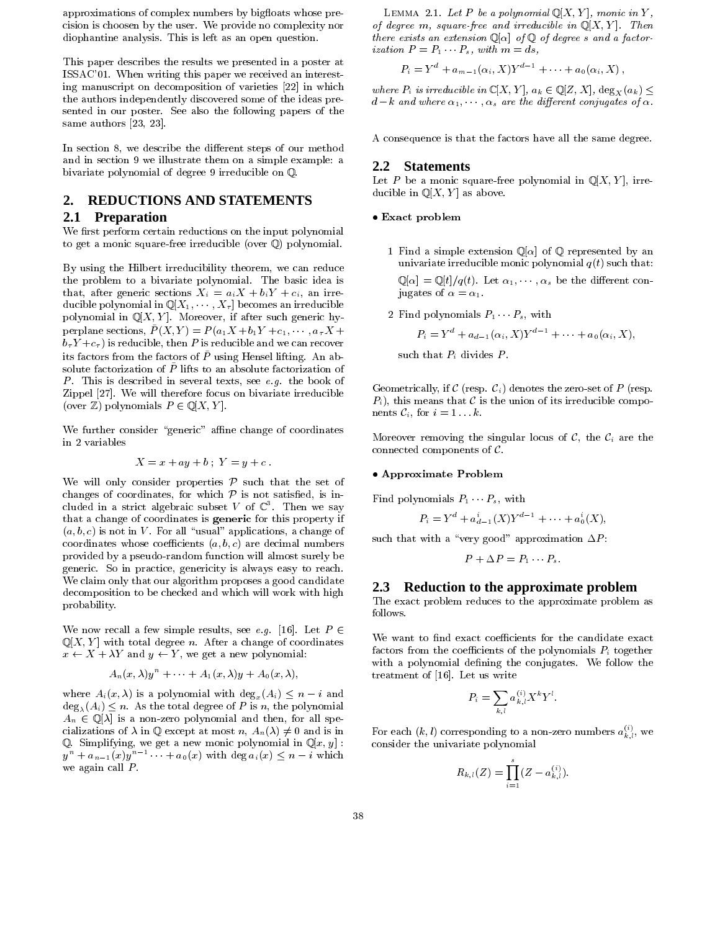approximations of complex numbers by bigfloats whose precision is choosen by the user. We provide no complexity nor diophantine analysis. This is left as an open question.

This paper describes the results we presented in a poster at ISSAC'01. When writing this paper we received an interesting manuscript on decomposition of varieties [22] in which the authors independently discovered some of the ideas presented in our poster. See also the following papers of the same authors  $[23, 23]$ .

In section 8, we describe the different steps of our method and in section 9 we illustrate them on a simple example: a bivariate polynomial of degree 9 irreducible on Q.

### REDUCTIONS AND STATEMENTS  $2.$

#### 2.1 **Preparation**

We first perform certain reductions on the input polynomial to get a monic square-free irreducible (over Q) polynomial.

By using the Hilbert irreducibility theorem, we can reduce the problem to a bivariate polynomial. The basic idea is that, after generic sections  $X_i = a_i X + b_i Y + c_i$ , an irreducible polynomial in  $\mathbb{Q}[X_1,\cdots,X_\tau]$  becomes an irreducible polynomial in  $\mathbb{Q}[X, Y]$ . Moreover, if after such generic hyperplane sections,  $P(X, Y) = P(a_1X + b_1Y + c_1, \dots, a_{\tau}X +$  $b_{\tau}Y+c_{\tau}$  is reducible, then P is reducible and we can recover its factors from the factors of  $\tilde{P}$  using Hensel lifting. An absolute factorization of  $\tilde{P}$  lifts to an absolute factorization of P. This is described in several texts, see e.g. the book of Zippel [27]. We will therefore focus on bivariate irreducible (over  $\mathbb{Z}$ ) polynomials  $P \in \mathbb{Q}[X, Y]$ .

We further consider "generic" affine change of coordinates in 2 variables

$$
X = x + ay + b ; Y = y + c
$$

We will only consider properties  $P$  such that the set of changes of coordinates, for which  $P$  is not satisfied, is included in a strict algebraic subset V of  $\mathbb{C}^3$ . Then we say that a change of coordinates is generic for this property if  $(a, b, c)$  is not in V. For all "usual" applications, a change of coordinates whose coefficients  $(a, b, c)$  are decimal numbers provided by a pseudo-random function will almost surely be generic. So in practice, genericity is always easy to reach. We claim only that our algorithm proposes a good candidate decomposition to be checked and which will work with high probability.

We now recall a few simple results, see e.g. [16]. Let  $P \in$  $\mathbb{Q}[X, Y]$  with total degree *n*. After a change of coordinates  $x \leftarrow X + \lambda Y$  and  $y \leftarrow Y$ , we get a new polynomial:

$$
A_n(x,\lambda)y^n + \cdots + A_1(x,\lambda)y + A_0(x,\lambda),
$$

where  $A_i(x, \lambda)$  is a polynomial with  $\deg_x(A_i) \leq n - i$  and  $\deg_{\lambda}(A_i) \leq n$ . As the total degree of P is n, the polynomial  $A_n \in \mathbb{Q}[\lambda]$  is a non-zero polynomial and then, for all specializations of  $\lambda$  in Q except at most  $n, A_n(\lambda) \neq 0$  and is in Q. Simplifying, we get a new monic polynomial in  $\mathbb{Q}[x, y]$ :  $y^{n} + a_{n-1}(x)y^{n-1} + a_{0}(x)$  with deg  $a_{i}(x) \leq n-i$  which we again call  $P$ .

LEMMA 2.1. Let P be a polynomial  $\mathbb{Q}[X, Y]$ , monic in Y, of degree m, square-free and irreducible in  $\mathbb{Q}[X, Y]$ . Then there exists an extension  $\mathbb{Q}[\alpha]$  of  $\mathbb{Q}$  of degree s and a factorization  $P = P_1 \cdots P_s$ , with  $m = ds$ ,

$$
P_i = Y^d + a_{m-1}(\alpha_i, X)Y^{d-1} + \cdots + a_0(\alpha_i, X) ,
$$

where  $P_i$  is irreducible in  $\mathbb{C}[X, Y]$ ,  $a_k \in \mathbb{Q}[Z, X]$ ,  $\deg_X(a_k) \leq$  $d-k$  and where  $\alpha_1, \cdots, \alpha_s$  are the different conjugates of  $\alpha$ .

A consequence is that the factors have all the same degree.

### 2.2 Statements

Let P be a monic square-free polynomial in  $\mathbb{Q}[X, Y]$ , irreducible in  $\mathbb{Q}[X, Y]$  as above.

### • Exact problem

1 Find a simple extension  $\mathbb{Q}[\alpha]$  of  $\mathbb{Q}$  represented by an univariate irreducible monic polynomial  $q(t)$  such that:  $\mathbb{Q}[\alpha] = \mathbb{Q}[t]/q(t)$ . Let  $\alpha_1, \cdots, \alpha_s$  be the different conjugates of  $\alpha = \alpha_1$ .

2 Find polynomials  $P_1 \cdots P_s$ , with

$$
P_i = Y^d + a_{d-1}(\alpha_i, X)Y^{d-1} + \cdots + a_0(\alpha_i, X),
$$

such that  $P_i$  divides  $P$ .

Geometrically, if  $\mathcal C$  (resp.  $\mathcal C_i$ ) denotes the zero-set of P (resp.  $P_i$ , this means that C is the union of its irreducible components  $\mathcal{C}_i$ , for  $i=1...k$ .

Moreover removing the singular locus of C, the  $\mathcal{C}_i$  are the connected components of  $\mathcal{C}$ .

### • Approximate Problem

Find polynomials  $P_1 \cdots P_s$ , with

$$
P_i = Y^d + a_{d-1}^i(X)Y^{d-1} + \cdots + a_0^i(X),
$$

such that with a "very good" approximation  $\Delta P$ :

$$
P+\Delta P=P_1\cdots P_s.
$$

### 2.3 Reduction to the approximate problem

The exact problem reduces to the approximate problem as follows.

We want to find exact coefficients for the candidate exact factors from the coefficients of the polynomials  $P_i$  together with a polynomial defining the conjugates. We follow the treatment of  $[16]$ . Let us write

$$
P_i = \sum_{k,l} a_{k,l}^{(i)} X^k Y^l
$$

For each  $(k, l)$  corresponding to a non-zero numbers  $a_{k, l}^{(i)}$ , we consider the univariate polynomial

$$
R_{k,l}(Z) = \prod_{i=1}^s (Z - a_{k,l}^{(i)})
$$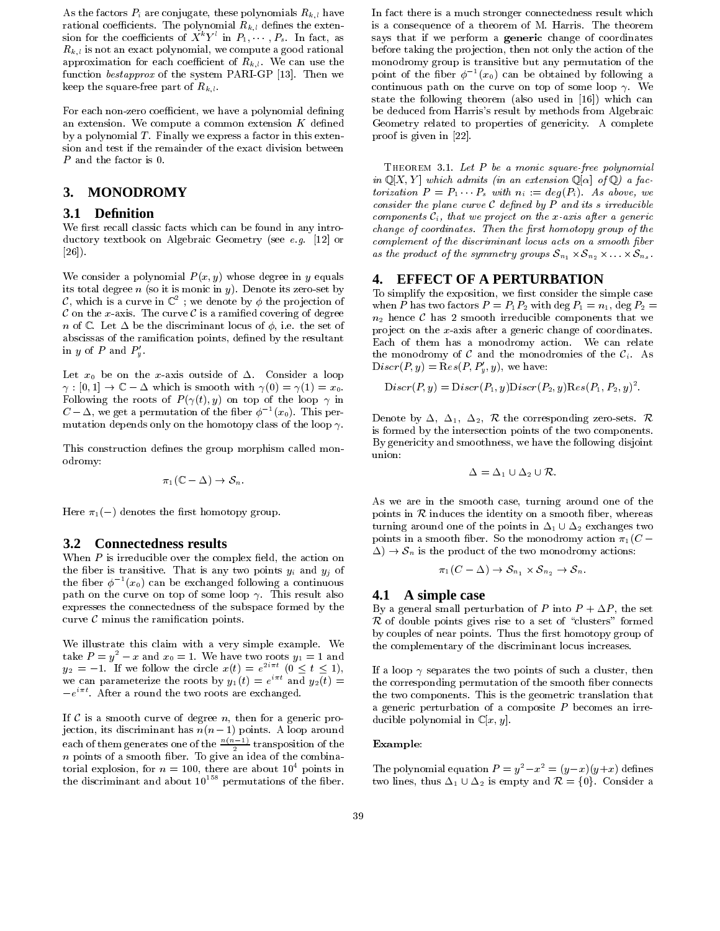As the factors  $P_i$  are conjugate, these polynomials  $R_{k,l}$  have rational coefficients. The polynomial  $R_{k,l}$  defines the extension for the coefficients of  $X^k Y^l$  in  $P_1, \cdots, P_s$ . In fact, as  $R_{k,l}$  is not an exact polynomial, we compute a good rational approximation for each coefficient of  $R_{k,l}$ . We can use the function *bestapprox* of the system PARI-GP [13]. Then we keep the square-free part of  $R_{k,l}$ .

For each non-zero coefficient, we have a polynomial defining an extension. We compute a common extension  $K$  defined by a polynomial  $T$ . Finally we express a factor in this extension and test if the remainder of the exact division between  $P$  and the factor is 0.

### $3.$ **MONODROMY**

#### **3.1 Definition**

We first recall classic facts which can be found in any introductory textbook on Algebraic Geometry (see e.g. [12] or  $[26]$ .

We consider a polynomial  $P(x, y)$  whose degree in y equals its total degree  $n$  (so it is monic in  $y$ ). Denote its zero-set by C, which is a curve in  $\mathbb{C}^2$ ; we denote by  $\phi$  the projection of C on the x-axis. The curve C is a ramified covering of degree n of  $\mathbb C$ . Let  $\Delta$  be the discriminant locus of  $\phi$ , i.e. the set of abscissas of the ramification points, defined by the resultant in y of P and  $P'_y$ .

Let  $x_0$  be on the x-axis outside of  $\Delta$ . Consider a loop  $\gamma : [0,1] \to \mathbb{C} - \Delta$  which is smooth with  $\gamma(0) = \gamma(1) = x_0$ . Following the roots of  $P(\gamma(t), y)$  on top of the loop  $\gamma$  in  $C - \Delta$ , we get a permutation of the fiber  $\phi^{-1}(x_0)$ . This permutation depends only on the homotopy class of the loop  $\gamma$ .

This construction defines the group morphism called monodromy:

$$
\pi_1(\mathbb{C} - \Delta) \to \mathcal{S}_n.
$$

Here  $\pi_1(-)$  denotes the first homotopy group.

# 3.2 Connectedness results

When  $P$  is irreducible over the complex field, the action on the fiber is transitive. That is any two points  $y_i$  and  $y_j$  of the fiber  $\phi^{-1}(x_0)$  can be exchanged following a continuous path on the curve on top of some loop  $\gamma$ . This result also expresses the connectedness of the subspace formed by the curve  $\mathcal C$  minus the ramification points.

We illustrate this claim with a very simple example. We take  $P = y^2 - x$  and  $x_0 = 1$ . We have two roots  $y_1 = 1$  and  $y_2 = -1$ . If we follow the circle  $x(t) = e^{2i\pi t}$  ( $0 \le t \le 1$ ),<br>we can parameterize the roots by  $y_1(t) = e^{i\pi t}$  and  $y_2(t) =$  $-e^{i\pi t}$  . After a round the two roots are exchanged.

If  $C$  is a smooth curve of degree  $n$ , then for a generic projection, its discriminant has  $n(n-1)$  points. A loop around each of them generates one of the  $\frac{n(n-1)}{2}$  transposition of the  $n$  points of a smooth fiber. To give an idea of the combinatorial explosion, for  $n = 100$ , there are about  $10^4$  points in the discriminant and about  $10^{158}$  permutations of the fiber.

In fact there is a much stronger connectedness result which is a consequence of a theorem of M. Harris. The theorem says that if we perform a generic change of coordinates before taking the projection, then not only the action of the monodromy group is transitive but any permutation of the point of the fiber  $\phi^{-1}(x_0)$  can be obtained by following a continuous path on the curve on top of some loop  $\gamma$ . We state the following theorem (also used in [16]) which can be deduced from Harris's result by methods from Algebraic Geometry related to properties of genericity. A complete proof is given in  $[22]$ .

THEOREM 3.1. Let P be a monic square-free polynomial in  $\mathbb{Q}[X, Y]$  which admits (in an extension  $\mathbb{Q}[\alpha]$  of  $\mathbb{Q}$ ) a factorization  $P = P_1 \cdots P_s$  with  $n_i := deg(P_i)$ . As above, we consider the plane curve  $C$  defined by  $P$  and its s irreducible components  $\mathcal{C}_i$ , that we project on the x-axis after a generic change of coordinates. Then the first homotopy group of the complement of the discriminant locus acts on a smooth fiber as the product of the symmetry groups  $S_{n_1} \times S_{n_2} \times \ldots \times S_{n_s}$ .

### **EFFECT OF A PERTURBATION** 4.

To simplify the exposition, we first consider the simple case when P has two factors  $P = P_1 P_2$  with deg  $P_1 = n_1$ , deg  $P_2 =$  $n_2$  hence C has 2 smooth irreducible components that we project on the  $x$ -axis after a generic change of coordinates. Each of them has a monodromy action. We can relate the monodromy of  $C$  and the monodromies of the  $C_i$ . As  $Discr(P, y) = Res(P, P'_y, y)$ , we have:

$$
\mathrm{Discr}(P, y) = \mathrm{Discr}(P_1, y) \mathrm{Discr}(P_2, y) \mathrm{Res}(P_1, P_2, y)^2.
$$

Denote by  $\Delta$ ,  $\Delta_1$ ,  $\Delta_2$ ,  $\mathcal R$  the corresponding zero-sets.  $\mathcal R$ is formed by the intersection points of the two components. By genericity and smoothness, we have the following disjoint union:

$$
\Delta = \Delta_1 \cup \Delta_2 \cup \mathcal{R}.
$$

As we are in the smooth case, turning around one of the points in  $R$  induces the identity on a smooth fiber, whereas turning around one of the points in  $\Delta_1 \cup \Delta_2$  exchanges two points in a smooth fiber. So the monodromy action  $\pi_1(C \Delta$ )  $\rightarrow$   $\mathcal{S}_n$  is the product of the two monodromy actions:

$$
\pi_1(C - \Delta) \to \mathcal{S}_{n_1} \times \mathcal{S}_{n_2} \to \mathcal{S}_n
$$

#### 4.1 A simple case

By a general small perturbation of P into  $P + \Delta P$ , the set  $R$  of double points gives rise to a set of "clusters" formed by couples of near points. Thus the first homotopy group of the complementary of the discriminant locus increases.

If a loop  $\gamma$  separates the two points of such a cluster, then the corresponding permutation of the smooth fiber connects the two components. This is the geometric translation that a generic perturbation of a composite  $P$  becomes an irreducible polynomial in  $\mathbb{C}[x, y]$ .

### Example:

The polynomial equation  $P = y^2 - x^2 = (y-x)(y+x)$  defines two lines, thus  $\Delta_1 \cup \Delta_2$  is empty and  $\mathcal{R} = \{0\}$ . Consider a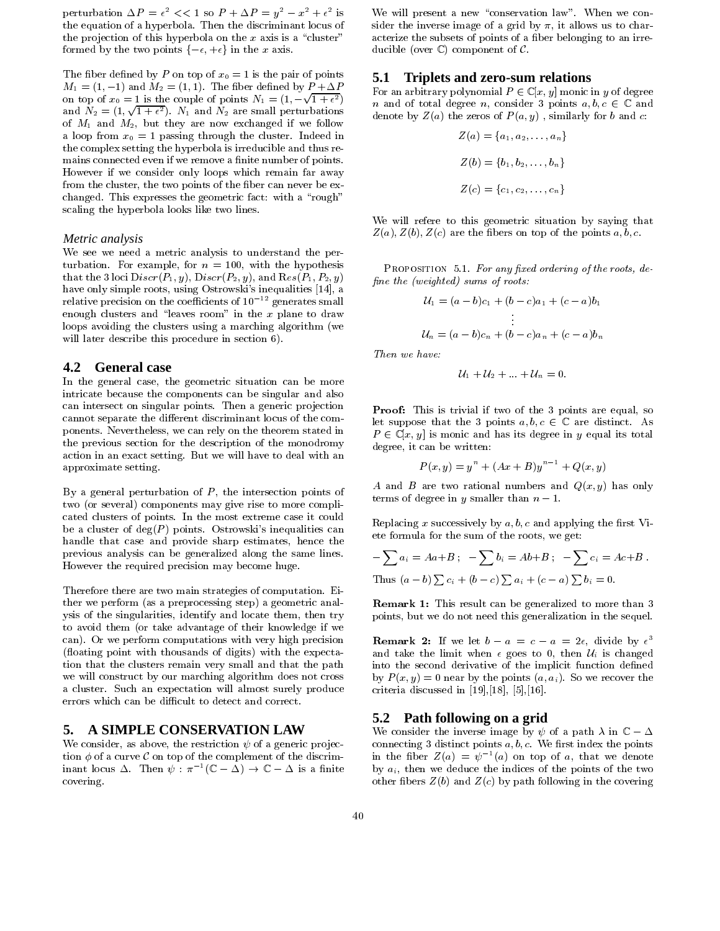perturbation  $\Delta P = \epsilon^2 \ll 1$  so  $P + \Delta P = y^2 - x^2 + \epsilon^2$  is the equation of a hyperbola. Then the discriminant locus of the projection of this hyperbola on the  $x$  axis is a "cluster" formed by the two points  $\{-\epsilon, +\epsilon\}$  in the x axis.

The fiber defined by P on top of  $x_0 = 1$  is the pair of points  $M_1 = (1, -1)$  and  $M_2 = (1, 1)$ . The fiber defined by  $P + \Delta P$ on top of  $x_0 = 1$  is the couple of points  $N_1 = (1, -\sqrt{1+\epsilon^2})$ and  $N_2 = (1, \sqrt{1+\epsilon^2})$ .  $N_1$  and  $N_2$  are small perturbations of  $M_1$  and  $M_2$ , but they are now exchanged if we follow a loop from  $x_0 = 1$  passing through the cluster. Indeed in the complex setting the hyperbola is irreducible and thus remains connected even if we remove a finite number of points. However if we consider only loops which remain far away from the cluster, the two points of the fiber can never be exchanged. This expresses the geometric fact: with a "rough" scaling the hyperbola looks like two lines.

### Metric analysis

We see we need a metric analysis to understand the perturbation. For example, for  $n = 100$ , with the hypothesis that the 3 loci  $Discr(P_1, y)$ ,  $Discr(P_2, y)$ , and  $Res(P_1, P_2, y)$ have only simple roots, using Ostrowski's inequalities [14], a relative precision on the coefficients of  $10^{-12}$  generates small enough clusters and "leaves room" in the  $x$  plane to draw loops avoiding the clusters using a marching algorithm (we will later describe this procedure in section 6).

## 4.2 General case

In the general case, the geometric situation can be more intricate because the components can be singular and also can intersect on singular points. Then a generic projection cannot separate the different discriminant locus of the components. Nevertheless, we can rely on the theorem stated in the previous section for the description of the monodromy action in an exact setting. But we will have to deal with an approximate setting.

By a general perturbation of  $P$ , the intersection points of two (or several) components may give rise to more complicated clusters of points. In the most extreme case it could be a cluster of  $deg(P)$  points. Ostrowski's inequalities can handle that case and provide sharp estimates, hence the previous analysis can be generalized along the same lines. However the required precision may become huge.

Therefore there are two main strategies of computation. Either we perform (as a preprocessing step) a geometric analysis of the singularities, identify and locate them, then try to avoid them (or take advantage of their knowledge if we can). Or we perform computations with very high precision (floating point with thousands of digits) with the expectation that the clusters remain very small and that the path we will construct by our marching algorithm does not cross a cluster. Such an expectation will almost surely produce errors which can be difficult to detect and correct.

### 5. A SIMPLE CONSERVATION LAW

We consider, as above, the restriction  $\psi$  of a generic projection  $\phi$  of a curve  $\mathcal C$  on top of the complement of the discriminant locus  $\Delta$ . Then  $\psi : \pi^{-1}(\mathbb{C} - \Delta) \to \mathbb{C} - \Delta$  is a finite covering.

We will present a new "conservation law". When we consider the inverse image of a grid by  $\pi$ , it allows us to characterize the subsets of points of a fiber belonging to an irreducible (over  $\mathbb{C}$ ) component of  $\mathcal{C}$ .

# 5.1 Triplets and zero-sum relations

For an arbitrary polynomial  $P \in \mathbb{C}[x, y]$  monic in y of degree *n* and of total degree *n*, consider 3 points  $a, b, c \in \mathbb{C}$  and denote by  $Z(a)$  the zeros of  $P(a, y)$ , similarly for b and c:

$$
Z(a) = \{a_1, a_2, \dots, a_n\}
$$
  

$$
Z(b) = \{b_1, b_2, \dots, b_n\}
$$
  

$$
Z(c) = \{c_1, c_2, \dots, c_n\}
$$

We will refere to this geometric situation by saying that  $Z(a)$ ,  $Z(b)$ ,  $Z(c)$  are the fibers on top of the points a, b, c.

PROPOSITION 5.1. For any fixed ordering of the roots, define the (weighted) sums of roots:

$$
\mathcal{U}_1 = (a - b)c_1 + (b - c)a_1 + (c - a)b_1
$$
  
\n
$$
\vdots
$$
  
\n
$$
\mathcal{U}_n = (a - b)c_n + (b - c)a_n + (c - a)b_n
$$

Then we have:

$$
\mathcal{U}_1 + \mathcal{U}_2 + \ldots + \mathcal{U}_n = 0
$$

**Proof:** This is trivial if two of the 3 points are equal, so let suppose that the 3 points  $a, b, c \in \mathbb{C}$  are distinct. As  $P \in \mathbb{C}[x, y]$  is monic and has its degree in y equal its total degree, it can be written:

$$
P(x, y) = y^{n} + (Ax + B)y^{n-1} + Q(x, y)
$$

A and B are two rational numbers and  $Q(x, y)$  has only terms of degree in y smaller than  $n-1$ .

Replacing x successively by  $a, b, c$  and applying the first Viete formula for the sum of the roots, we get:

$$
-\sum a_i = Aa + B; \quad -\sum b_i = Ab + B; \quad -\sum c_i = Ac + B.
$$
  
Thus  $(a - b) \sum c_i + (b - c) \sum a_i + (c - a) \sum b_i = 0.$ 

**Remark 1:** This result can be generalized to more than 3 points, but we do not need this generalization in the sequel.

**Remark 2:** If we let  $b - a = c - a = 2\epsilon$ , divide by  $\epsilon^3$ and take the limit when  $\epsilon$  goes to 0, then  $\mathcal{U}_i$  is changed into the second derivative of the implicit function defined by  $P(x, y) = 0$  near by the points  $(a, a_i)$ . So we recover the criteria discussed in  $[19],[18],[5],[16]$ .

# 5.2 Path following on a grid

We consider the inverse image by  $\psi$  of a path  $\lambda$  in  $\mathbb{C} - \Delta$ connecting 3 distinct points  $a, b, c$ . We first index the points in the fiber  $Z(a) = \psi^{-1}(a)$  on top of a, that we denote by  $a_i$ , then we deduce the indices of the points of the two other fibers  $Z(b)$  and  $Z(c)$  by path following in the covering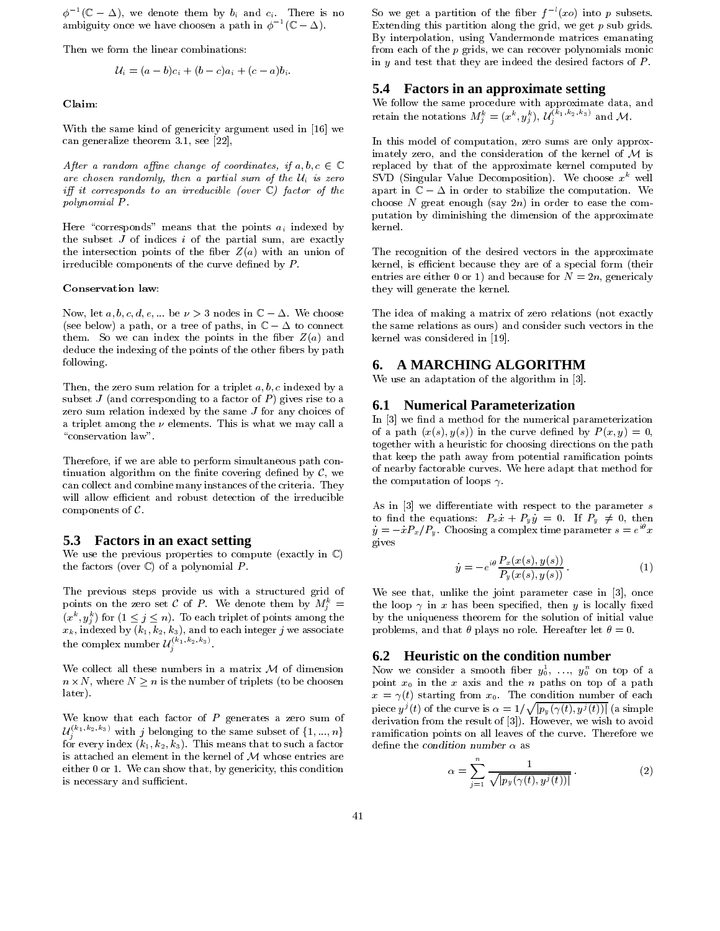$\phi^{-1}(\mathbb{C} - \Delta)$ , we denote them by  $b_i$  and  $c_i$ . There is no ambiguity once we have choosen a path in  $\phi^{-1}(\mathbb{C} - \Delta)$ .

Then we form the linear combinations:

$$
U_i = (a - b)c_i + (b - c)a_i + (c - a)b_i.
$$

 $Claim:$ 

With the same kind of genericity argument used in [16] we can generalize theorem 3.1, see  $[22]$ ,

After a random affine change of coordinates, if  $a, b, c \in \mathbb{C}$ are chosen randomly, then a partial sum of the  $\mathcal{U}_i$  is zero iff it corresponds to an irreducible (over  $\mathbb{C}$ ) factor of the polynomial P.

Here "corresponds" means that the points  $a_i$  indexed by the subset  $J$  of indices  $i$  of the partial sum, are exactly the intersection points of the fiber  $Z(a)$  with an union of irreducible components of the curve defined by  $P$ .

### **Conservation law:**

Now, let a, b, c, d, e, ... be  $\nu > 3$  nodes in  $\mathbb{C} - \Delta$ . We choose (see below) a path, or a tree of paths, in  $\mathbb{C} - \Delta$  to connect them. So we can index the points in the fiber  $Z(a)$  and deduce the indexing of the points of the other fibers by path following.

Then, the zero sum relation for a triplet  $a, b, c$  indexed by a subset  $J$  (and corresponding to a factor of  $P$ ) gives rise to a zero sum relation indexed by the same  $J$  for any choices of a triplet among the  $\nu$  elements. This is what we may call a "conservation law".

Therefore, if we are able to perform simultaneous path continuation algorithm on the finite covering defined by  $\mathcal{C}$ , we can collect and combine many instances of the criteria. They will allow efficient and robust detection of the irreducible components of  $\mathcal{C}$ .

### 5.3 Factors in an exact setting

We use the previous properties to compute (exactly in  $\mathbb{C}$ ) the factors (over  $\mathbb{C}$ ) of a polynomial P.

The previous steps provide us with a structured grid of points on the zero set C of P. We denote them by  $M_i^k =$  $(x^k, y_j^k)$  for  $(1 \leq j \leq n)$ . To each triplet of points among the  $x_k$ , indexed by  $(k_1, k_2, k_3)$ , and to each integer j we associate the complex number  $\mathcal{U}_i^{(k_1,k_2,k_3)}.$ 

We collect all these numbers in a matrix  $M$  of dimension  $n \times N$ , where  $N \geq n$  is the number of triplets (to be choosen  $\lambda$  later).

We know that each factor of  $P$  generates a zero sum of  $\mathcal{U}_i^{(k_1,k_2,k_3)}$  with j belonging to the same subset of  $\{1,...,n\}$ for every index  $(k_1, k_2, k_3)$ . This means that to such a factor is attached an element in the kernel of  $M$  whose entries are either 0 or 1. We can show that, by genericity, this condition is necessary and sufficient.

So we get a partition of the fiber  $f^{-l}(xo)$  into p subsets. Extending this partition along the grid, we get  $p$  sub grids. By interpolation, using Vandermonde matrices emanating from each of the  $p$  grids, we can recover polynomials monic in  $y$  and test that they are indeed the desired factors of  $P$ .

### 5.4 Factors in an approximate setting

We follow the same procedure with approximate data, and retain the notations  $M_i^k = (x^k, y_i^k), \mathcal{U}_i^{(k_1, k_2, k_3)}$  and M.

In this model of computation, zero sums are only approximately zero, and the consideration of the kernel of  $M$  is replaced by that of the approximate kernel computed by SVD (Singular Value Decomposition). We choose  $x^k$  well apart in  $\mathbb{C} - \Delta$  in order to stabilize the computation. We choose N great enough (say  $2n$ ) in order to ease the computation by diminishing the dimension of the approximate kernel.

The recognition of the desired vectors in the approximate kernel, is efficient because they are of a special form (their entries are either 0 or 1) and because for  $N = 2n$ , genericaly they will generate the kernel.

The idea of making a matrix of zero relations (not exactly the same relations as ours) and consider such vectors in the kernel was considered in [19].

#### A MARCHING ALGORITHM 6.

We use an adaptation of the algorithm in  $[3]$ .

#### **Numerical Parameterization** 6.1

In [3] we find a method for the numerical parameterization of a path  $(x(s), y(s))$  in the curve defined by  $P(x, y) = 0$ , together with a heuristic for choosing directions on the path that keep the path away from potential ramification points of nearby factorable curves. We here adapt that method for the computation of loops  $\gamma$ .

As in  $[3]$  we differentiate with respect to the parameter s to find the equations:  $P_x \dot{x} + P_y \dot{y} = 0$ . If  $P_y \neq 0$ , then  $\dot{y} = -\dot{x}P_x/P_y$ . Choosing a complex time parameter  $s = e^{i\theta}x$ gives

$$
\dot{y} = -e^{i\theta} \frac{P_x(x(s), y(s))}{P_y(x(s), y(s))}.
$$
\n(1)

We see that, unlike the joint parameter case in [3], once the loop  $\gamma$  in x has been specified, then y is locally fixed by the uniqueness theorem for the solution of initial value problems, and that  $\theta$  plays no role. Hereafter let  $\theta = 0$ .

### 6.2 Heuristic on the condition number

Now we consider a smooth fiber  $y_0^1, \ldots, y_0^n$  on top of a point  $x_0$  in the x axis and the n paths on top of a path  $x = \gamma(t)$  starting from  $x_0$ . The condition number of each piece  $y^{j}(t)$  of the curve is  $\alpha = 1/\sqrt{|p_{y}(\gamma(t), y^{j}(t))|}$  (a simple derivation from the result of [3]). However, we wish to avoid ramification points on all leaves of the curve. Therefore we define the condition number  $\alpha$  as

$$
\alpha = \sum_{j=1}^{n} \frac{1}{\sqrt{|p_y(\gamma(t), y^j(t))|}}.
$$
 (2)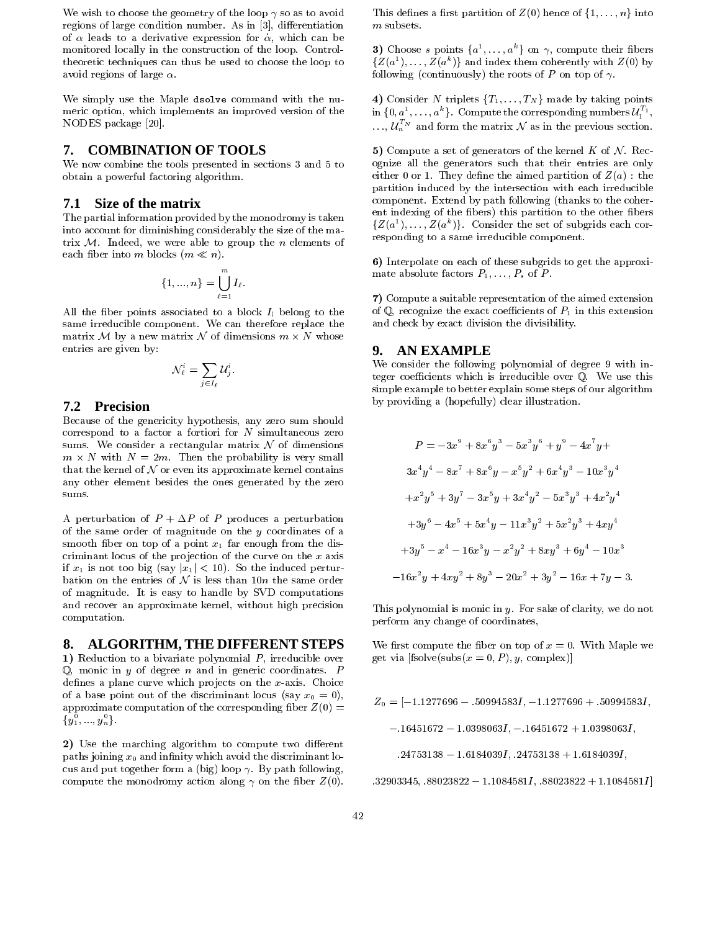We wish to choose the geometry of the loop  $\gamma$  so as to avoid regions of large condition number. As in [3], differentiation of  $\alpha$  leads to a derivative expression for  $\alpha$ , which can be monitored locally in the construction of the loop. Controltheoretic techniques can thus be used to choose the loop to avoid regions of large  $\alpha$ .

We simply use the Maple dsolve command with the numeric option, which implements an improved version of the NODES package [20].

#### **COMBINATION OF TOOLS** 7.

We now combine the tools presented in sections 3 and 5 to obtain a powerful factoring algorithm.

#### Size of the matrix 7.1

The partial information provided by the monodromy is taken into account for diminishing considerably the size of the matrix  $M$ . Indeed, we were able to group the *n* elements of each fiber into m blocks  $(m \ll n)$ .

$$
\{1,...,n\} = \bigcup_{\ell=1}^m I_\ell
$$

All the fiber points associated to a block  $I_l$  belong to the same irreducible component. We can therefore replace the matrix M by a new matrix N of dimensions  $m \times N$  whose entries are given by:

$$
\mathcal{N}_{\ell}^i = \sum_{j \in I_{\ell}} \mathcal{U}_j^i.
$$

#### $7.2$ Precision

Because of the genericity hypothesis, any zero sum should correspond to a factor a fortiori for  $N$  simultaneous zero sums. We consider a rectangular matrix  $\mathcal N$  of dimensions  $m \times N$  with  $N = 2m$ . Then the probability is very small that the kernel of  $N$  or even its approximate kernel contains any other element besides the ones generated by the zero sums.

A perturbation of  $P + \Delta P$  of P produces a perturbation of the same order of magnitude on the  $y$  coordinates of a smooth fiber on top of a point  $x_1$  far enough from the discriminant locus of the projection of the curve on the  $x$  axis if  $x_1$  is not too big (say  $|x_1| < 10$ ). So the induced perturbation on the entries of  $\mathcal N$  is less than 10*n* the same order of magnitude. It is easy to handle by SVD computations and recover an approximate kernel, without high precision computation.

#### **ALGORITHM, THE DIFFERENT STEPS** 8.

1) Reduction to a bivariate polynomial  $P$ , irreducible over  $\mathbb{Q}$ , monic in  $y$  of degree n and in generic coordinates. P defines a plane curve which projects on the  $x$ -axis. Choice of a base point out of the discriminant locus (say  $x_0 = 0$ ). approximate computation of the corresponding fiber  $Z(0) =$  $\{y_1^0, \ldots, y_n^0\}.$ 

2) Use the marching algorithm to compute two different paths joining  $x_0$  and infinity which avoid the discriminant locus and put together form a (big) loop  $\gamma$ . By path following, compute the monodromy action along  $\gamma$  on the fiber  $Z(0)$ . This defines a first partition of  $Z(0)$  hence of  $\{1, \ldots, n\}$  into  $m$  subsets.

**3)** Choose s points  $\{a^1, \ldots, a^k\}$  on  $\gamma$ , compute their fibers  $\{Z(a^1),\ldots,Z(a^k)\}\$ and index them coherently with  $Z(0)$  by following (continuously) the roots of P on top of  $\gamma$ .

4) Consider N triplets  $\{T_1, \ldots, T_N\}$  made by taking points in  $\{0, a^1, \ldots, a^k\}$ . Compute the corresponding numbers  $\mathcal{U}_1^{T_1}$ ,  $\ldots$ ,  $\mathcal{U}_n^{T_N}$  and form the matrix N as in the previous section.

5) Compute a set of generators of the kernel K of N. Recognize all the generators such that their entries are only either 0 or 1. They define the aimed partition of  $Z(a)$ : the partition induced by the intersection with each irreducible component. Extend by path following (thanks to the coherent indexing of the fibers) this partition to the other fibers  $\{Z(a^1), \ldots, Z(a^k)\}.$  Consider the set of subgrids each corresponding to a same irreducible component.

6) Interpolate on each of these subgrids to get the approximate absolute factors  $P_1, \ldots, P_s$  of P.

7) Compute a suitable representation of the aimed extension of  $\mathbb Q$  recognize the exact coefficients of  $P_1$  in this extension and check by exact division the divisibility.

# 9. AN EXAMPLE

We consider the following polynomial of degree 9 with integer coefficients which is irreducible over Q. We use this simple example to better explain some steps of our algorithm by providing a (hopefully) clear illustration.

$$
P = -3x^9 + 8x^6y^3 - 5x^3y^6 + y^9 - 4x^7y + 3x^4y^4 - 8x^7 + 8x^6y - x^5y^2 + 6x^4y^3 - 10x^3y^4 + x^2y^5 + 3y^7 - 3x^5y + 3x^4y^2 - 5x^3y^3 + 4x^2y^4 + 3y^6 - 4x^5 + 5x^4y - 11x^3y^2 + 5x^2y^3 + 4xy^4 + 3y^5 - x^4 - 16x^3y - x^2y^2 + 8xy^3 + 6y^4 - 10x^3 + 16x^2y + 4xy^2 + 8y^3 - 20x^2 + 3y^2 - 16x + 7y - 3.
$$

This polynomial is monic in  $y$ . For sake of clarity, we do not perform any change of coordinates,

We first compute the fiber on top of  $x = 0$ . With Maple we get via [fsolve(subs( $x = 0, P$ ), y, complex)]

$$
Z_0 = [-1.1277696 - .50994583I, -1.1277696 + .50994583I,
$$
  
-.16451672 - 1.0398063I, -.16451672 + 1.0398063I,  
.24753138 - 1.6184039I, .24753138 + 1.6184039I,

.32903345, .88023822 - 1.1084581*I*, .88023822 + 1.1084581*I*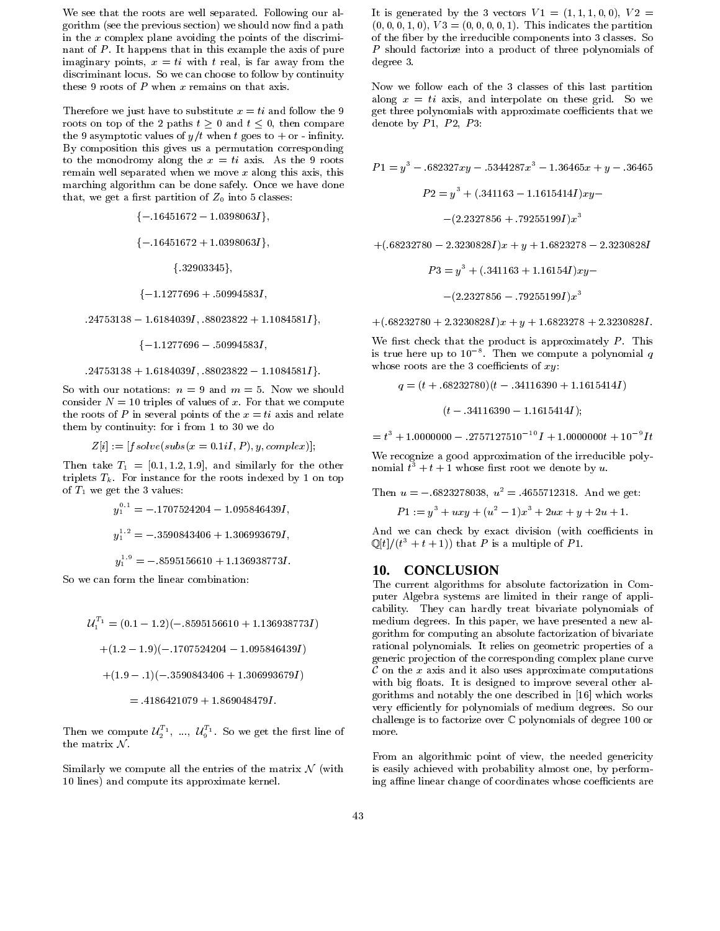We see that the roots are well separated. Following our algorithm (see the previous section) we should now find a path in the  $x$  complex plane avoiding the points of the discriminant of  $P$ . It happens that in this example the axis of pure imaginary points,  $x = ti$  with t real, is far away from the discriminant locus. So we can choose to follow by continuity these 9 roots of  $P$  when  $x$  remains on that axis.

Therefore we just have to substitute  $x = ti$  and follow the 9 roots on top of the 2 paths  $t \geq 0$  and  $t \leq 0$ , then compare the 9 asymptotic values of  $y/t$  when t goes to + or - infinity. By composition this gives us a permutation corresponding to the monodromy along the  $x = ti$  axis. As the 9 roots remain well separated when we move  $x$  along this axis, this marching algorithm can be done safely. Once we have done that, we get a first partition of  $Z_0$  into 5 classes:

$$
\{-.16451672 - 1.0398063I\},
$$
  

$$
\{-.16451672 + 1.0398063I\},
$$
  

$$
\{.32903345\},
$$
  

$$
\{-1.1277696 + .50994583I,
$$
  

$$
.24753138 - 1.6184039I, .88023822 + 1.1084581I\},
$$
  

$$
\{-1.1277696 - .50994583I,
$$

$$
24753138 + 1.6184039I, .88023822 - 1.1084581I.
$$

So with our notations:  $n = 9$  and  $m = 5$ . Now we should consider  $N = 10$  triples of values of x. For that we compute the roots of P in several points of the  $x = ti$  axis and relate them by continuity: for i from 1 to 30 we do

$$
Z[i] := [fsolve(subs(x = 0.1iI, P), y, complex)];
$$

Then take  $T_1 = [0.1, 1.2, 1.9]$ , and similarly for the other triplets  $T_k$ . For instance for the roots indexed by 1 on top of  $T_1$  we get the 3 values:

$$
y_1^{0.1} = -.1707524204 - 1.095846439I,
$$
  
\n
$$
y_1^{1.2} = -.3590843406 + 1.306993679I,
$$
  
\n
$$
y_1^{1.9} = -.8595156610 + 1.136938773I.
$$

So we can form the linear combination:

$$
U_1^{T_1} = (0.1 - 1.2)(-.8595156610 + 1.136938773I)
$$
  
+ (1.2 - 1.9)(-.1707524204 - 1.095846439I)  
+ (1.9 - .1)(-.3590843406 + 1.306993679I)  
= .4186421079 + 1.869048479I.

Then we compute  $\mathcal{U}_2^{T_1}$ , ...,  $\mathcal{U}_9^{T_1}$ . So we get the first line of the matrix  $N$ .

Similarly we compute all the entries of the matrix  $\cal N$  (with 10 lines) and compute its approximate kernel.

It is generated by the 3 vectors  $V1 = (1, 1, 1, 0, 0), V2 =$  $(0,0,0,1,0), V3 = (0,0,0,0,1).$  This indicates the partition of the fiber by the irreducible components into 3 classes. So P should factorize into a product of three polynomials of degree 3.

Now we follow each of the 3 classes of this last partition along  $x = ti$  axis, and interpolate on these grid. So we get three polynomials with approximate coefficients that we denote by  $P1, P2, P3$ :

$$
P1 = y^3 - .682327xy - .5344287x^3 - 1.36465x + y - .36465
$$

$$
P2 = y^3 + (.341163 - 1.1615414I)xy -
$$

$$
- (2.2327856 + .79255199I)x^3
$$

$$
+ (.68232780 - 2.3230828I)x + y + 1.6823278 - 2.3230828I
$$

 $P3 = y^3 + (.341163 + 1.16154I)xy -(2.2327856 - 79255199I)x^3$ 

+ $(.68232780 + 2.3230828I)x + y + 1.6823278 + 2.3230828I$ 

We first check that the product is approximately  $P$ . This is true here up to  $10^{-8}$ . Then we compute a polynomial q whose roots are the 3 coefficients of  $xy$ .

$$
q = (t + .68232780)(t - .34116390 + 1.1615414I)
$$

$$
(t - .34116390 - 1.1615414I);
$$

 $= t^3 + 1.0000000 - 0.2757127510^{-10}I + 1.0000000t + 10^{-9}It$ 

We recognize a good approximation of the irreducible polynomial  $t^3 + t + 1$  whose first root we denote by u.

Then 
$$
u = -.6823278038
$$
,  $u^2 = .4655712318$ . And we get:  
\n $P1 := y^3 + uxy + (u^2 - 1)x^3 + 2ux + y + 2u + 1$ .  
\nAnd we can check by exact division (with coefficients

in  $\mathbb{Q}[t]/(t^3+t+1)$  that P is a multiple of P1.

# 10. CONCLUSION

The current algorithms for absolute factorization in Computer Algebra systems are limited in their range of applicability. They can hardly treat bivariate polynomials of medium degrees. In this paper, we have presented a new algorithm for computing an absolute factorization of bivariate rational polynomials. It relies on geometric properties of a generic projection of the corresponding complex plane curve  $\mathcal C$  on the x axis and it also uses approximate computations with big floats. It is designed to improve several other algorithms and notably the one described in [16] which works very efficiently for polynomials of medium degrees. So our challenge is to factorize over  $\mathbb C$  polynomials of degree 100 or more.

From an algorithmic point of view, the needed genericity is easily achieved with probability almost one, by performing affine linear change of coordinates whose coefficients are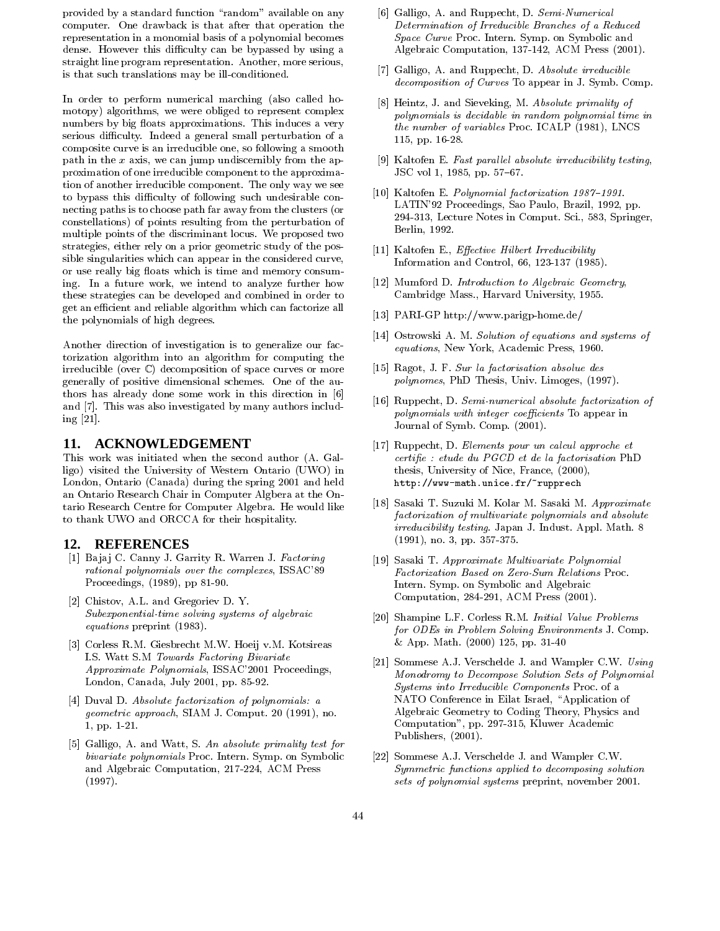provided by a standard function "random" available on any computer. One drawback is that after that operation the representation in a monomial basis of a polynomial becomes dense. However this difficulty can be bypassed by using a straight line program representation. Another, more serious, is that such translations may be ill-conditioned.

In order to perform numerical marching (also called homotopy) algorithms, we were obliged to represent complex numbers by big floats approximations. This induces a very serious difficulty. Indeed a general small perturbation of a composite curve is an irreducible one, so following a smooth path in the  $x$  axis, we can jump undiscernibly from the approximation of one irreducible component to the approximation of another irreducible component. The only way we see to bypass this difficulty of following such undesirable connecting paths is to choose path far away from the clusters (or constellations) of points resulting from the perturbation of multiple points of the discriminant locus. We proposed two strategies, either rely on a prior geometric study of the possible singularities which can appear in the considered curve, or use really big floats which is time and memory consuming. In a future work, we intend to analyze further how these strategies can be developed and combined in order to get an efficient and reliable algorithm which can factorize all the polynomials of high degrees.

Another direction of investigation is to generalize our factorization algorithm into an algorithm for computing the irreducible (over  $\mathbb{C}$ ) decomposition of space curves or more generally of positive dimensional schemes. One of the authors has already done some work in this direction in [6] and [7]. This was also investigated by many authors including  $[21]$ .

# 11. ACKNOWLEDGEMENT

This work was initiated when the second author (A. Galligo) visited the University of Western Ontario (UWO) in London, Ontario (Canada) during the spring 2001 and held an Ontario Research Chair in Computer Algbera at the Ontario Research Centre for Computer Algebra. He would like to thank UWO and ORCCA for their hospitality.

#### 12. **REFERENCES**

- [1] Bajaj C. Canny J. Garrity R. Warren J. Factoring rational polynomials over the complexes, ISSAC'89 Proceedings, (1989), pp 81-90.
- [2] Chistov, A.L. and Gregoriev D.Y. Suberponential-time solving systems of algebraic equations preprint (1983).
- [3] Corless R.M. Giesbrecht M.W. Hoeij v.M. Kotsireas I.S. Watt S.M Towards Factoring Bivariate *Approximate Polynomials, ISSAC'2001 Proceedings,* London, Canada, July 2001, pp. 85-92.
- [4] Duval D. Absolute factorization of polynomials: a geometric approach, SIAM J. Comput. 20 (1991), no. 1, pp. 1-21.
- [5] Galligo, A. and Watt, S. An absolute primality test for bivariate polynomials Proc. Intern. Symp. on Symbolic and Algebraic Computation, 217-224, ACM Press  $(1997)$ .
- [6] Galligo, A. and Ruppecht, D. Semi-Numerical Determination of Irreducible Branches of a Reduced *Space Curve* Proc. Intern. Symp. on Symbolic and Algebraic Computation, 137-142, ACM Press (2001).
- [7] Galligo, A. and Ruppecht, D. Absolute irreducible decomposition of Curves To appear in J. Symb. Comp.
- [8] Heintz, J. and Sieveking, M. Absolute primality of polynomials is decidable in random polynomial time in the number of variables Proc. ICALP (1981), LNCS 115, pp. 16-28.
- [9] Kaltofen E. Fast parallel absolute irreducibility testing, JSC vol 1, 1985, pp. 57-67.
- [10] Kaltofen E. Polynomial factorization 1987-1991. LATIN'92 Proceedings, Sao Paulo, Brazil, 1992, pp. 294-313, Lecture Notes in Comput. Sci., 583, Springer, Berlin, 1992.
- [11] Kaltofen E., Effective Hilbert Irreducibility Information and Control, 66, 123-137 (1985).
- [12] Mumford D. Introduction to Algebraic Geometry, Cambridge Mass., Harvard University, 1955.
- [13] PARI-GP http://www.parigp-home.de/
- [14] Ostrowski A. M. Solution of equations and systems of equations, New York, Academic Press, 1960.
- [15] Ragot, J. F. Sur la factorisation absolue des polynomes, PhD Thesis, Univ. Limoges, (1997).
- [16] Ruppecht, D. Semi-numerical absolute factorization of polynomials with integer coefficients To appear in Journal of Symb. Comp. (2001).
- [17] Ruppecht, D. Elements pour un calcul approche et certifie : etude du PGCD et de la factorisation PhD thesis, University of Nice, France, (2000), http://www-math.unice.fr/"rupprech
- [18] Sasaki T. Suzuki M. Kolar M. Sasaki M. Approximate factorization of multivariate polynomials and absolute *irreducibility testing*. Japan J. Indust. Appl. Math. 8  $(1991)$ , no. 3, pp. 357-375.
- [19] Sasaki T. Approximate Multivariate Polynomial Factorization Based on Zero-Sum Relations Proc. Intern. Symp. on Symbolic and Algebraic Computation, 284-291, ACM Press (2001).
- [20] Shampine L.F. Corless R.M. Initial Value Problems for ODEs in Problem Solving Environments J. Comp. & App. Math. (2000) 125, pp. 31-40
- [21] Sommese A.J. Verschelde J. and Wampler C.W. Using Monodromy to Decompose Solution Sets of Polynomial Systems into Irreducible Components Proc. of a NATO Conference in Eilat Israel, "Application of Algebraic Geometry to Coding Theory, Physics and Computation", pp. 297-315, Kluwer Academic Publishers, (2001).
- [22] Sommese A.J. Verschelde J. and Wampler C.W. Symmetric functions applied to decomposing solution sets of polynomial systems preprint, november 2001.